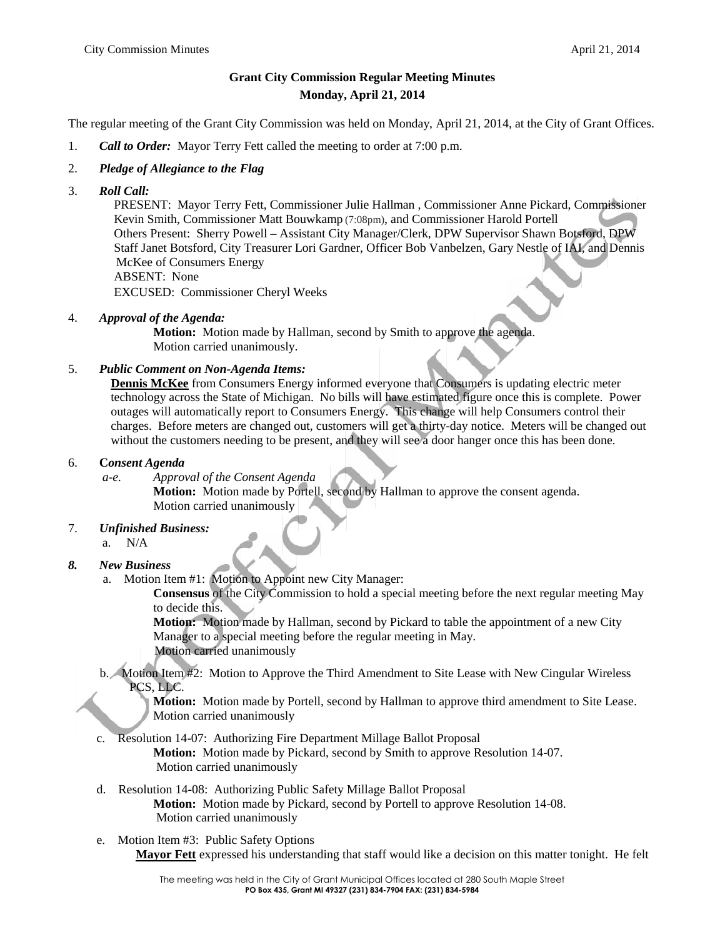# **Grant City Commission Regular Meeting Minutes Monday, April 21, 2014**

The regular meeting of the Grant City Commission was held on Monday, April 21, 2014, at the City of Grant Offices.

- 1. *Call to Order:* Mayor Terry Fett called the meeting to order at 7:00 p.m.
- 2. *Pledge of Allegiance to the Flag*
- 3. *Roll Call:*

PRESENT: Mayor Terry Fett, Commissioner Julie Hallman , Commissioner Anne Pickard, Commissioner Kevin Smith, Commissioner Matt Bouwkamp (7:08pm), and Commissioner Harold Portell Others Present: Sherry Powell – Assistant City Manager/Clerk, DPW Supervisor Shawn Botsford, DPW Staff Janet Botsford, City Treasurer Lori Gardner, Officer Bob Vanbelzen, Gary Nestle of IAI, and Dennis McKee of Consumers Energy ABSENT: None EXCUSED: Commissioner Cheryl Weeks

4. *Approval of the Agenda:*

**Motion:** Motion made by Hallman, second by Smith to approve the agenda. Motion carried unanimously.

## 5. *Public Comment on Non-Agenda Items:*

**Dennis McKee** from Consumers Energy informed everyone that Consumers is updating electric meter technology across the State of Michigan. No bills will have estimated figure once this is complete. Power outages will automatically report to Consumers Energy. This change will help Consumers control their charges. Before meters are changed out, customers will get a thirty-day notice. Meters will be changed out without the customers needing to be present, and they will see a door hanger once this has been done.

### 6. **C***onsent Agenda*

*a-e. Approval of the Consent Agenda* **Motion:** Motion made by Portell, second by Hallman to approve the consent agenda. Motion carried unanimously

7. *Unfinished Business:* a. N/A

## *8. New Business*

a. Motion Item #1: Motion to Appoint new City Manager:

**Consensus** of the City Commission to hold a special meeting before the next regular meeting May to decide this.

**Motion:** Motion made by Hallman, second by Pickard to table the appointment of a new City Manager to a special meeting before the regular meeting in May. Motion carried unanimously

b. Motion Item #2: Motion to Approve the Third Amendment to Site Lease with New Cingular Wireless PCS, LLC.

**Motion:** Motion made by Portell, second by Hallman to approve third amendment to Site Lease. Motion carried unanimously

c. Resolution 14-07: Authorizing Fire Department Millage Ballot Proposal

**Motion:** Motion made by Pickard, second by Smith to approve Resolution 14-07. Motion carried unanimously

- d. Resolution 14-08: Authorizing Public Safety Millage Ballot Proposal **Motion:** Motion made by Pickard, second by Portell to approve Resolution 14-08. Motion carried unanimously
- e. Motion Item #3: Public Safety Options **Mayor Fett** expressed his understanding that staff would like a decision on this matter tonight. He felt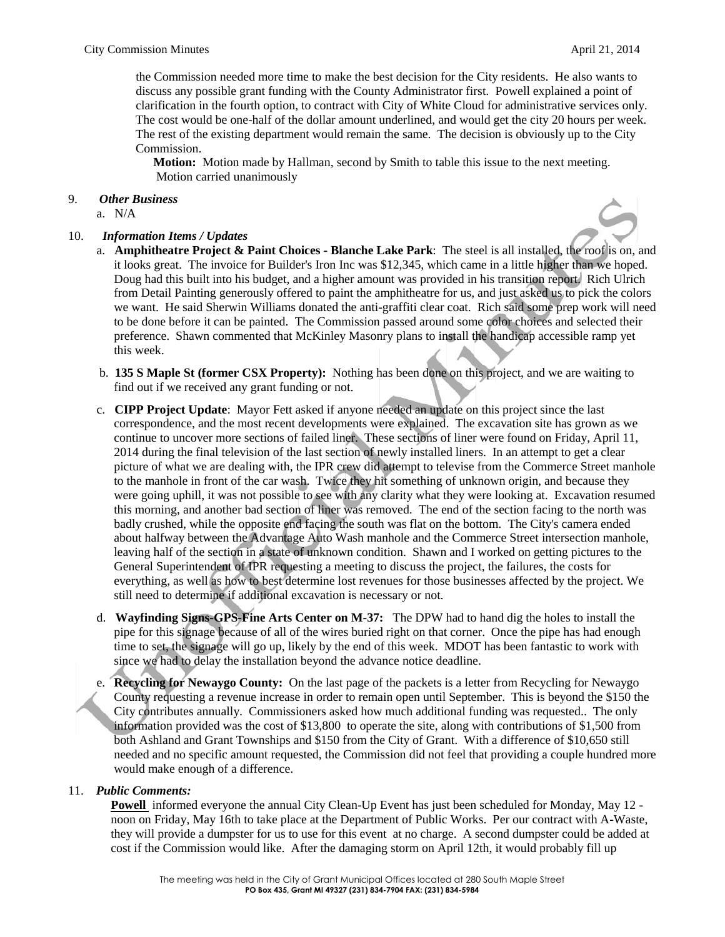the Commission needed more time to make the best decision for the City residents. He also wants to discuss any possible grant funding with the County Administrator first. Powell explained a point of clarification in the fourth option, to contract with City of White Cloud for administrative services only. The cost would be one-half of the dollar amount underlined, and would get the city 20 hours per week. The rest of the existing department would remain the same. The decision is obviously up to the City Commission.

**Motion:** Motion made by Hallman, second by Smith to table this issue to the next meeting. Motion carried unanimously

### 9. *Other Business*

a.  $N/A$ 

#### 10. *Information Items / Updates*



- a. **Amphitheatre Project & Paint Choices - Blanche Lake Park**: The steel is all installed, the roof is on, and it looks great. The invoice for Builder's Iron Inc was \$12,345, which came in a little higher than we hoped. Doug had this built into his budget, and a higher amount was provided in his transition report. Rich Ulrich from Detail Painting generously offered to paint the amphitheatre for us, and just asked us to pick the colors we want. He said Sherwin Williams donated the anti-graffiti clear coat. Rich said some prep work will need to be done before it can be painted. The Commission passed around some color choices and selected their preference. Shawn commented that McKinley Masonry plans to install the handicap accessible ramp yet this week.
- b. **135 S Maple St (former CSX Property):** Nothing has been done on this project, and we are waiting to find out if we received any grant funding or not.
- c. **CIPP Project Update**: Mayor Fett asked if anyone needed an update on this project since the last correspondence, and the most recent developments were explained. The excavation site has grown as we continue to uncover more sections of failed liner. These sections of liner were found on Friday, April 11, 2014 during the final television of the last section of newly installed liners. In an attempt to get a clear picture of what we are dealing with, the IPR crew did attempt to televise from the Commerce Street manhole to the manhole in front of the car wash. Twice they hit something of unknown origin, and because they were going uphill, it was not possible to see with any clarity what they were looking at. Excavation resumed this morning, and another bad section of liner was removed. The end of the section facing to the north was badly crushed, while the opposite end facing the south was flat on the bottom. The City's camera ended about halfway between the Advantage Auto Wash manhole and the Commerce Street intersection manhole, leaving half of the section in a state of unknown condition. Shawn and I worked on getting pictures to the General Superintendent of IPR requesting a meeting to discuss the project, the failures, the costs for everything, as well as how to best determine lost revenues for those businesses affected by the project. We still need to determine if additional excavation is necessary or not.
- d. **Wayfinding Signs-GPS-Fine Arts Center on M-37:** The DPW had to hand dig the holes to install the pipe for this signage because of all of the wires buried right on that corner. Once the pipe has had enough time to set, the signage will go up, likely by the end of this week. MDOT has been fantastic to work with since we had to delay the installation beyond the advance notice deadline.
- e. **Recycling for Newaygo County:** On the last page of the packets is a letter from Recycling for Newaygo County requesting a revenue increase in order to remain open until September. This is beyond the \$150 the City contributes annually. Commissioners asked how much additional funding was requested.. The only information provided was the cost of \$13,800 to operate the site, along with contributions of \$1,500 from both Ashland and Grant Townships and \$150 from the City of Grant. With a difference of \$10,650 still needed and no specific amount requested, the Commission did not feel that providing a couple hundred more would make enough of a difference.

### 11. *Public Comments:*

**Powell** informed everyone the annual City Clean-Up Event has just been scheduled for Monday, May 12 noon on Friday, May 16th to take place at the Department of Public Works. Per our contract with A-Waste, they will provide a dumpster for us to use for this event at no charge. A second dumpster could be added at cost if the Commission would like. After the damaging storm on April 12th, it would probably fill up